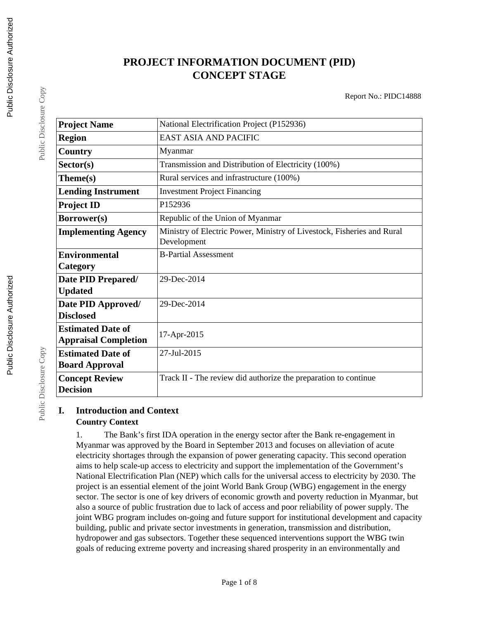# **PROJECT INFORMATION DOCUMENT (PID) CONCEPT STAGE**

Report No.: PIDC14888

| <b>Project Name</b>         | National Electrification Project (P152936)                                            |
|-----------------------------|---------------------------------------------------------------------------------------|
| <b>Region</b>               | <b>EAST ASIA AND PACIFIC</b>                                                          |
| Country                     | Myanmar                                                                               |
| Sector(s)                   | Transmission and Distribution of Electricity (100%)                                   |
| Theme(s)                    | Rural services and infrastructure (100%)                                              |
| <b>Lending Instrument</b>   | <b>Investment Project Financing</b>                                                   |
| <b>Project ID</b>           | P152936                                                                               |
| Borrower(s)                 | Republic of the Union of Myanmar                                                      |
| <b>Implementing Agency</b>  | Ministry of Electric Power, Ministry of Livestock, Fisheries and Rural<br>Development |
| <b>Environmental</b>        | <b>B-Partial Assessment</b>                                                           |
| Category                    |                                                                                       |
| Date PID Prepared/          | 29-Dec-2014                                                                           |
| <b>Updated</b>              |                                                                                       |
| Date PID Approved/          | 29-Dec-2014                                                                           |
| <b>Disclosed</b>            |                                                                                       |
| <b>Estimated Date of</b>    | 17-Apr-2015                                                                           |
| <b>Appraisal Completion</b> |                                                                                       |
| <b>Estimated Date of</b>    | 27-Jul-2015                                                                           |
| <b>Board Approval</b>       |                                                                                       |
| <b>Concept Review</b>       | Track II - The review did authorize the preparation to continue                       |
| <b>Decision</b>             |                                                                                       |

#### **I. Introduction and Context Country Context**

1. The Bank's first IDA operation in the energy sector after the Bank re-engagement in Myanmar was approved by the Board in September 2013 and focuses on alleviation of acute electricity shortages through the expansion of power generating capacity. This second operation aims to help scale-up access to electricity and support the implementation of the Government's National Electrification Plan (NEP) which calls for the universal access to electricity by 2030. The project is an essential element of the joint World Bank Group (WBG) engagement in the energy sector. The sector is one of key drivers of economic growth and poverty reduction in Myanmar, but also a source of public frustration due to lack of access and poor reliability of power supply. The joint WBG program includes on-going and future support for institutional development and capacity building, public and private sector investments in generation, transmission and distribution, hydropower and gas subsectors. Together these sequenced interventions support the WBG twin goals of reducing extreme poverty and increasing shared prosperity in an environmentally and

Public Disclosure Copy

Public Disclosure Copy

Public Disclosure Copy

Public Disclosure Copy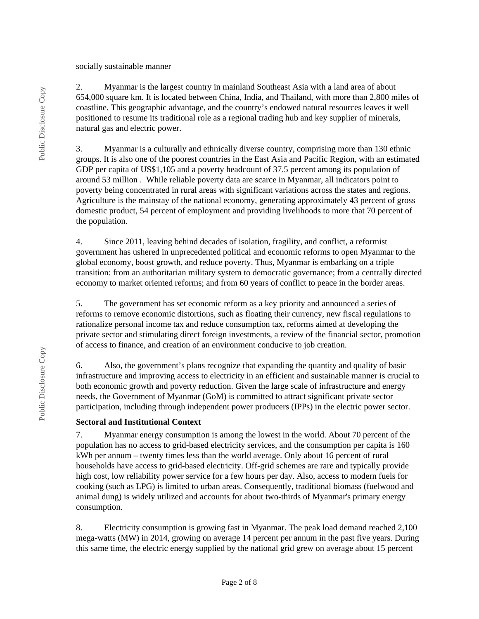socially sustainable manner

2. Myanmar is the largest country in mainland Southeast Asia with a land area of about 654,000 square km. It is located between China, India, and Thailand, with more than 2,800 miles of coastline. This geographic advantage, and the country's endowed natural resources leaves it well positioned to resume its traditional role as a regional trading hub and key supplier of minerals, natural gas and electric power.

3. Myanmar is a culturally and ethnically diverse country, comprising more than 130 ethnic groups. It is also one of the poorest countries in the East Asia and Pacific Region, with an estimated GDP per capita of US\$1,105 and a poverty headcount of 37.5 percent among its population of around 53 million . While reliable poverty data are scarce in Myanmar, all indicators point to poverty being concentrated in rural areas with significant variations across the states and regions. Agriculture is the mainstay of the national economy, generating approximately 43 percent of gross domestic product, 54 percent of employment and providing livelihoods to more that 70 percent of the population.

4. Since 2011, leaving behind decades of isolation, fragility, and conflict, a reformist government has ushered in unprecedented political and economic reforms to open Myanmar to the global economy, boost growth, and reduce poverty. Thus, Myanmar is embarking on a triple transition: from an authoritarian military system to democratic governance; from a centrally directed economy to market oriented reforms; and from 60 years of conflict to peace in the border areas.

5. The government has set economic reform as a key priority and announced a series of reforms to remove economic distortions, such as floating their currency, new fiscal regulations to rationalize personal income tax and reduce consumption tax, reforms aimed at developing the private sector and stimulating direct foreign investments, a review of the financial sector, promotion of access to finance, and creation of an environment conducive to job creation.

6. Also, the government's plans recognize that expanding the quantity and quality of basic infrastructure and improving access to electricity in an efficient and sustainable manner is crucial to both economic growth and poverty reduction. Given the large scale of infrastructure and energy needs, the Government of Myanmar (GoM) is committed to attract significant private sector participation, including through independent power producers (IPPs) in the electric power sector.

#### **Sectoral and Institutional Context**

7. Myanmar energy consumption is among the lowest in the world. About 70 percent of the population has no access to grid-based electricity services, and the consumption per capita is 160 kWh per annum – twenty times less than the world average. Only about 16 percent of rural households have access to grid-based electricity. Off-grid schemes are rare and typically provide high cost, low reliability power service for a few hours per day. Also, access to modern fuels for cooking (such as LPG) is limited to urban areas. Consequently, traditional biomass (fuelwood and animal dung) is widely utilized and accounts for about two-thirds of Myanmar's primary energy consumption.

8. Electricity consumption is growing fast in Myanmar. The peak load demand reached 2,100 mega-watts (MW) in 2014, growing on average 14 percent per annum in the past five years. During this same time, the electric energy supplied by the national grid grew on average about 15 percent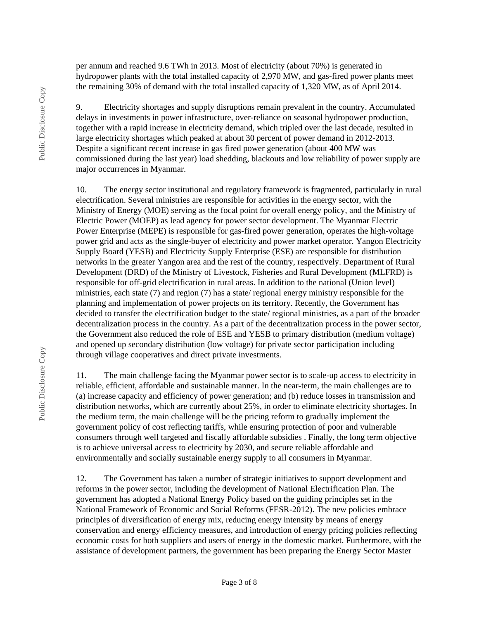per annum and reached 9.6 TWh in 2013. Most of electricity (about 70%) is generated in hydropower plants with the total installed capacity of 2,970 MW, and gas-fired power plants meet the remaining 30% of demand with the total installed capacity of 1,320 MW, as of April 2014.

9. Electricity shortages and supply disruptions remain prevalent in the country. Accumulated delays in investments in power infrastructure, over-reliance on seasonal hydropower production, together with a rapid increase in electricity demand, which tripled over the last decade, resulted in large electricity shortages which peaked at about 30 percent of power demand in 2012-2013. Despite a significant recent increase in gas fired power generation (about 400 MW was commissioned during the last year) load shedding, blackouts and low reliability of power supply are major occurrences in Myanmar.

10. The energy sector institutional and regulatory framework is fragmented, particularly in rural electrification. Several ministries are responsible for activities in the energy sector, with the Ministry of Energy (MOE) serving as the focal point for overall energy policy, and the Ministry of Electric Power (MOEP) as lead agency for power sector development. The Myanmar Electric Power Enterprise (MEPE) is responsible for gas-fired power generation, operates the high-voltage power grid and acts as the single-buyer of electricity and power market operator. Yangon Electricity Supply Board (YESB) and Electricity Supply Enterprise (ESE) are responsible for distribution networks in the greater Yangon area and the rest of the country, respectively. Department of Rural Development (DRD) of the Ministry of Livestock, Fisheries and Rural Development (MLFRD) is responsible for off-grid electrification in rural areas. In addition to the national (Union level) ministries, each state (7) and region (7) has a state/ regional energy ministry responsible for the planning and implementation of power projects on its territory. Recently, the Government has decided to transfer the electrification budget to the state/ regional ministries, as a part of the broader decentralization process in the country. As a part of the decentralization process in the power sector, the Government also reduced the role of ESE and YESB to primary distribution (medium voltage) and opened up secondary distribution (low voltage) for private sector participation including through village cooperatives and direct private investments.

11. The main challenge facing the Myanmar power sector is to scale-up access to electricity in reliable, efficient, affordable and sustainable manner. In the near-term, the main challenges are to (a) increase capacity and efficiency of power generation; and (b) reduce losses in transmission and distribution networks, which are currently about 25%, in order to eliminate electricity shortages. In the medium term, the main challenge will be the pricing reform to gradually implement the government policy of cost reflecting tariffs, while ensuring protection of poor and vulnerable consumers through well targeted and fiscally affordable subsidies . Finally, the long term objective is to achieve universal access to electricity by 2030, and secure reliable affordable and environmentally and socially sustainable energy supply to all consumers in Myanmar.

12. The Government has taken a number of strategic initiatives to support development and reforms in the power sector, including the development of National Electrification Plan. The government has adopted a National Energy Policy based on the guiding principles set in the National Framework of Economic and Social Reforms (FESR-2012). The new policies embrace principles of diversification of energy mix, reducing energy intensity by means of energy conservation and energy efficiency measures, and introduction of energy pricing policies reflecting economic costs for both suppliers and users of energy in the domestic market. Furthermore, with the assistance of development partners, the government has been preparing the Energy Sector Master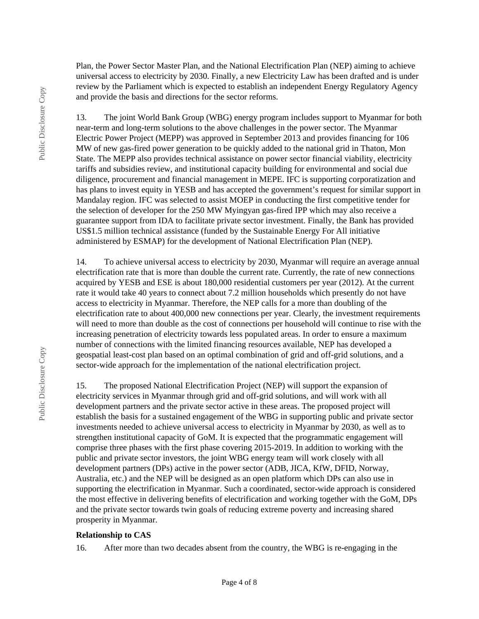Plan, the Power Sector Master Plan, and the National Electrification Plan (NEP) aiming to achieve universal access to electricity by 2030. Finally, a new Electricity Law has been drafted and is under review by the Parliament which is expected to establish an independent Energy Regulatory Agency and provide the basis and directions for the sector reforms.

13. The joint World Bank Group (WBG) energy program includes support to Myanmar for both near-term and long-term solutions to the above challenges in the power sector. The Myanmar Electric Power Project (MEPP) was approved in September 2013 and provides financing for 106 MW of new gas-fired power generation to be quickly added to the national grid in Thaton, Mon State. The MEPP also provides technical assistance on power sector financial viability, electricity tariffs and subsidies review, and institutional capacity building for environmental and social due diligence, procurement and financial management in MEPE. IFC is supporting corporatization and has plans to invest equity in YESB and has accepted the government's request for similar support in Mandalay region. IFC was selected to assist MOEP in conducting the first competitive tender for the selection of developer for the 250 MW Myingyan gas-fired IPP which may also receive a guarantee support from IDA to facilitate private sector investment. Finally, the Bank has provided US\$1.5 million technical assistance (funded by the Sustainable Energy For All initiative administered by ESMAP) for the development of National Electrification Plan (NEP).

14. To achieve universal access to electricity by 2030, Myanmar will require an average annual electrification rate that is more than double the current rate. Currently, the rate of new connections acquired by YESB and ESE is about 180,000 residential customers per year (2012). At the current rate it would take 40 years to connect about 7.2 million households which presently do not have access to electricity in Myanmar. Therefore, the NEP calls for a more than doubling of the electrification rate to about 400,000 new connections per year. Clearly, the investment requirements will need to more than double as the cost of connections per household will continue to rise with the increasing penetration of electricity towards less populated areas. In order to ensure a maximum number of connections with the limited financing resources available, NEP has developed a geospatial least-cost plan based on an optimal combination of grid and off-grid solutions, and a sector-wide approach for the implementation of the national electrification project.

15. The proposed National Electrification Project (NEP) will support the expansion of electricity services in Myanmar through grid and off-grid solutions, and will work with all development partners and the private sector active in these areas. The proposed project will establish the basis for a sustained engagement of the WBG in supporting public and private sector investments needed to achieve universal access to electricity in Myanmar by 2030, as well as to strengthen institutional capacity of GoM. It is expected that the programmatic engagement will comprise three phases with the first phase covering 2015-2019. In addition to working with the public and private sector investors, the joint WBG energy team will work closely with all development partners (DPs) active in the power sector (ADB, JICA, KfW, DFID, Norway, Australia, etc.) and the NEP will be designed as an open platform which DPs can also use in supporting the electrification in Myanmar. Such a coordinated, sector-wide approach is considered the most effective in delivering benefits of electrification and working together with the GoM, DPs and the private sector towards twin goals of reducing extreme poverty and increasing shared prosperity in Myanmar.

#### **Relationship to CAS**

16. After more than two decades absent from the country, the WBG is re-engaging in the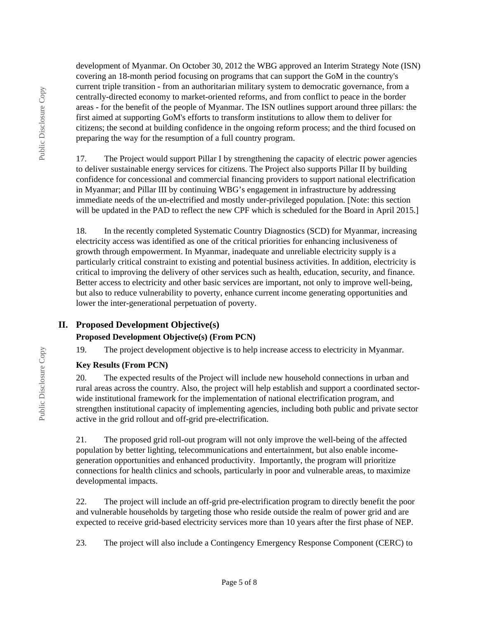development of Myanmar. On October 30, 2012 the WBG approved an Interim Strategy Note (ISN) covering an 18-month period focusing on programs that can support the GoM in the country's current triple transition - from an authoritarian military system to democratic governance, from a centrally-directed economy to market-oriented reforms, and from conflict to peace in the border areas - for the benefit of the people of Myanmar. The ISN outlines support around three pillars: the first aimed at supporting GoM's efforts to transform institutions to allow them to deliver for citizens; the second at building confidence in the ongoing reform process; and the third focused on preparing the way for the resumption of a full country program.

17. The Project would support Pillar I by strengthening the capacity of electric power agencies to deliver sustainable energy services for citizens. The Project also supports Pillar II by building confidence for concessional and commercial financing providers to support national electrification in Myanmar; and Pillar III by continuing WBG's engagement in infrastructure by addressing immediate needs of the un-electrified and mostly under-privileged population. [Note: this section will be updated in the PAD to reflect the new CPF which is scheduled for the Board in April 2015.

18. In the recently completed Systematic Country Diagnostics (SCD) for Myanmar, increasing electricity access was identified as one of the critical priorities for enhancing inclusiveness of growth through empowerment. In Myanmar, inadequate and unreliable electricity supply is a particularly critical constraint to existing and potential business activities. In addition, electricity is critical to improving the delivery of other services such as health, education, security, and finance. Better access to electricity and other basic services are important, not only to improve well-being, but also to reduce vulnerability to poverty, enhance current income generating opportunities and lower the inter-generational perpetuation of poverty.

# **II. Proposed Development Objective(s)**

# **Proposed Development Objective(s) (From PCN)**

19. The project development objective is to help increase access to electricity in Myanmar.

# **Key Results (From PCN)**

20. The expected results of the Project will include new household connections in urban and rural areas across the country. Also, the project will help establish and support a coordinated sectorwide institutional framework for the implementation of national electrification program, and strengthen institutional capacity of implementing agencies, including both public and private sector active in the grid rollout and off-grid pre-electrification.

21. The proposed grid roll-out program will not only improve the well-being of the affected population by better lighting, telecommunications and entertainment, but also enable incomegeneration opportunities and enhanced productivity. Importantly, the program will prioritize connections for health clinics and schools, particularly in poor and vulnerable areas, to maximize developmental impacts.

22. The project will include an off-grid pre-electrification program to directly benefit the poor and vulnerable households by targeting those who reside outside the realm of power grid and are expected to receive grid-based electricity services more than 10 years after the first phase of NEP.

23. The project will also include a Contingency Emergency Response Component (CERC) to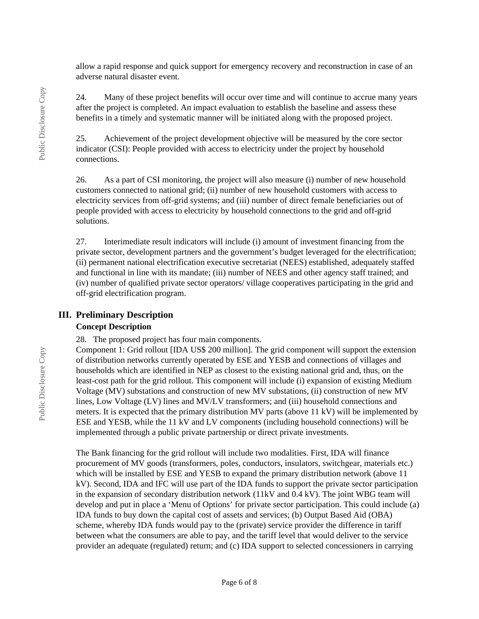allow a rapid response and quick support for emergency recovery and reconstruction in case of an adverse natural disaster event.

24. Many of these project benefits will occur over time and will continue to accrue many years after the project is completed. An impact evaluation to establish the baseline and assess these benefits in a timely and systematic manner will be initiated along with the proposed project.

25. Achievement of the project development objective will be measured by the core sector indicator (CSI): People provided with access to electricity under the project by household connections.

26. As a part of CSI monitoring, the project will also measure (i) number of new household customers connected to national grid; (ii) number of new household customers with access to electricity services from off-grid systems; and (iii) number of direct female beneficiaries out of people provided with access to electricity by household connections to the grid and off-grid solutions.

27. Interimediate result indicators will include (i) amount of investment financing from the private sector, development partners and the government's budget leveraged for the electrification; (ii) permanent national electrification executive secretariat (NEES) established, adequately staffed and functional in line with its mandate; (iii) number of NEES and other agency staff trained; and (iv) number of qualified private sector operators/ village cooperatives participating in the grid and off-grid electrification program.

### **III. Preliminary Description**

#### **Concept Description**

28. The proposed project has four main components.

Component 1: Grid rollout [IDA US\$ 200 million]. The grid component will support the extension of distribution networks currently operated by ESE and YESB and connections of villages and households which are identified in NEP as closest to the existing national grid and, thus, on the least-cost path for the grid rollout. This component will include (i) expansion of existing Medium Voltage (MV) substations and construction of new MV substations, (ii) construction of new MV lines, Low Voltage (LV) lines and MV/LV transformers; and (iii) household connections and meters. It is expected that the primary distribution MV parts (above 11 kV) will be implemented by ESE and YESB, while the 11 kV and LV components (including household connections) will be implemented through a public private partnership or direct private investments.

The Bank financing for the grid rollout will include two modalities. First, IDA will finance procurement of MV goods (transformers, poles, conductors, insulators, switchgear, materials etc.) which will be installed by ESE and YESB to expand the primary distribution network (above 11 kV). Second, IDA and IFC will use part of the IDA funds to support the private sector participation in the expansion of secondary distribution network (11kV and 0.4 kV). The joint WBG team will develop and put in place a 'Menu of Options' for private sector participation. This could include (a) IDA funds to buy down the capital cost of assets and services; (b) Output Based Aid (OBA) scheme, whereby IDA funds would pay to the (private) service provider the difference in tariff between what the consumers are able to pay, and the tariff level that would deliver to the service provider an adequate (regulated) return; and (c) IDA support to selected concessioners in carrying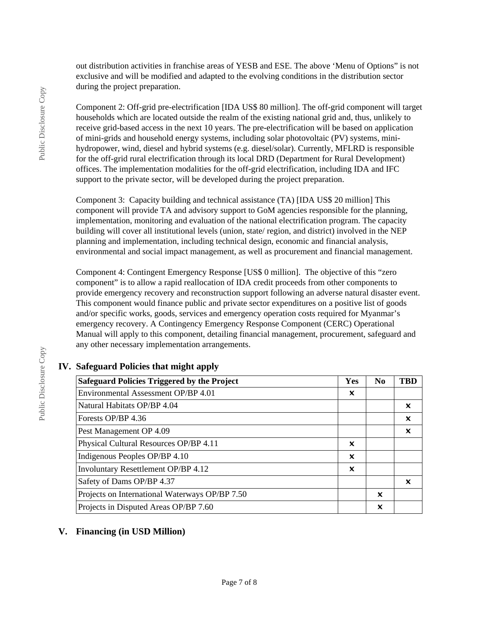out distribution activities in franchise areas of YESB and ESE. The above 'Menu of Options" is not exclusive and will be modified and adapted to the evolving conditions in the distribution sector during the project preparation.

Component 2: Off-grid pre-electrification [IDA US\$ 80 million]. The off-grid component will target households which are located outside the realm of the existing national grid and, thus, unlikely to receive grid-based access in the next 10 years. The pre-electrification will be based on application of mini-grids and household energy systems, including solar photovoltaic (PV) systems, minihydropower, wind, diesel and hybrid systems (e.g. diesel/solar). Currently, MFLRD is responsible for the off-grid rural electrification through its local DRD (Department for Rural Development) offices. The implementation modalities for the off-grid electrification, including IDA and IFC support to the private sector, will be developed during the project preparation.

Component 3: Capacity building and technical assistance (TA) [IDA US\$ 20 million] This component will provide TA and advisory support to GoM agencies responsible for the planning, implementation, monitoring and evaluation of the national electrification program. The capacity building will cover all institutional levels (union, state/ region, and district) involved in the NEP planning and implementation, including technical design, economic and financial analysis, environmental and social impact management, as well as procurement and financial management.

Component 4: Contingent Emergency Response [US\$ 0 million]. The objective of this "zero component" is to allow a rapid reallocation of IDA credit proceeds from other components to provide emergency recovery and reconstruction support following an adverse natural disaster event. This component would finance public and private sector expenditures on a positive list of goods and/or specific works, goods, services and emergency operation costs required for Myanmar's emergency recovery. A Contingency Emergency Response Component (CERC) Operational Manual will apply to this component, detailing financial management, procurement, safeguard and any other necessary implementation arrangements.

# **IV. Safeguard Policies that might apply**

| <b>Safeguard Policies Triggered by the Project</b> | Yes | N <sub>0</sub> | TBD |
|----------------------------------------------------|-----|----------------|-----|
| Environmental Assessment OP/BP 4.01                | x   |                |     |
| Natural Habitats OP/BP 4.04                        |     |                | ×   |
| Forests OP/BP 4.36                                 |     |                | x   |
| Pest Management OP 4.09                            |     |                | ×   |
| Physical Cultural Resources OP/BP 4.11             | ×   |                |     |
| Indigenous Peoples OP/BP 4.10                      | X   |                |     |
| Involuntary Resettlement OP/BP 4.12                | x   |                |     |
| Safety of Dams OP/BP 4.37                          |     |                | x   |
| Projects on International Waterways OP/BP 7.50     |     | x              |     |
| Projects in Disputed Areas OP/BP 7.60              |     | X              |     |

# **V. Financing (in USD Million)**